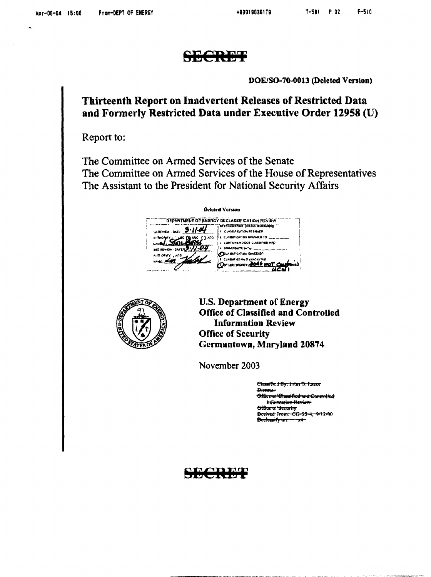

 $T_{\rm eff}$ 

DOE/SO-70-0013 (Deleted Version)

#### Thirteenth Report on Inadvertent Releases of Restricted Data and Formerly Restricted Data under Executive Order 12958 (U)

Report to:

 $\label{eq:2} \frac{1}{\sqrt{2}}\left(\frac{1}{\sqrt{2}}\right)^{2} \left(\frac{1}{\sqrt{2}}\right)^{2} \left(\frac{1}{\sqrt{2}}\right)^{2} \left(\frac{1}{\sqrt{2}}\right)^{2} \left(\frac{1}{\sqrt{2}}\right)^{2} \left(\frac{1}{\sqrt{2}}\right)^{2} \left(\frac{1}{\sqrt{2}}\right)^{2} \left(\frac{1}{\sqrt{2}}\right)^{2} \left(\frac{1}{\sqrt{2}}\right)^{2} \left(\frac{1}{\sqrt{2}}\right)^{2} \left(\frac{1}{\sqrt{2}}\right)^{2} \left(\frac{$ 

 

The Committee on Armed Services of the Senate The Committee on Armed Services of the House of Representatives The Assistant to the President for National Security Affairs

Deleted Version CATION REVIEW<br>TOROTH WARNER TO THE TANK OF THE TANK OF THE TANK OF THE TANK OF THE TANK OF THE TANK OF THE TANK OF THE TANK OF THE TANK OF THE TANK OF THE TANK OF THE TANK OF THE TANK OF THE TANK OF THE TANK OF THE TANK OF DEPARTMENT OF ENERGY DECLASSIFICATION REVIEW DETERMINATION IOIROLE NI MAERIES WREVEW DATE: 9.11.04 I CN96IFCAT/O\ IICTAINFO 2. CLASSIFICATION CHANGED TO: **BLANCE TAND** 1 LUMMAHA NO DOE CLABGIMED INFO MD NEYEW - DATE 3-11-04 1 OOGIDRATE WITH **COLABDIFICATION CANCELED ARR** CLASSIFIED IN<sub>F</sub>O dRAC<sub>FETED</sub><br>- TIMER (SPECIFY) **2045 MOT** •1



U.S. Department of Energy Office of Classified and Controlled Information Review Office of Security Germantown, Maryland 20874

November 2003

Classified By; Inter D. Lazor powele f Office of Classified and Compolled **commy**<br>om: CG-98-4, 9/12/8 had an international constant **Beclassify on**  $\overline{\phantom{a}}$ 

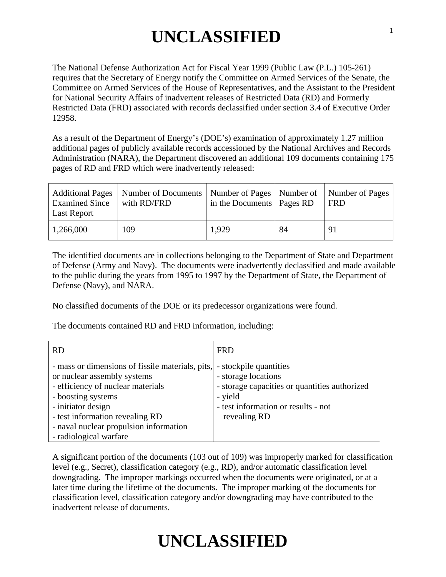# **UNCLASSIFIED**

The National Defense Authorization Act for Fiscal Year 1999 (Public Law (P.L.) 105-261) requires that the Secretary of Energy notify the Committee on Armed Services of the Senate, the Committee on Armed Services of the House of Representatives, and the Assistant to the President for National Security Affairs of inadvertent releases of Restricted Data (RD) and Formerly Restricted Data (FRD) associated with records declassified under section 3.4 of Executive Order 12958.

As a result of the Department of Energy's (DOE's) examination of approximately 1.27 million additional pages of publicly available records accessioned by the National Archives and Records Administration (NARA), the Department discovered an additional 109 documents containing 175 pages of RD and FRD which were inadvertently released:

| <b>Examined Since</b><br>Last Report | Additional Pages   Number of Documents   Number of Pages   Number of   Number of Pages<br>with RD/FRD | in the Documents   Pages RD |    | <b>FRD</b> |
|--------------------------------------|-------------------------------------------------------------------------------------------------------|-----------------------------|----|------------|
| 1,266,000                            | 109                                                                                                   | 1,929                       | 84 | 91         |

The identified documents are in collections belonging to the Department of State and Department of Defense (Army and Navy). The documents were inadvertently declassified and made available to the public during the years from 1995 to 1997 by the Department of State, the Department of Defense (Navy), and NARA.

No classified documents of the DOE or its predecessor organizations were found.

The documents contained RD and FRD information, including:

| <b>RD</b>                                        | <b>FRD</b>                                    |
|--------------------------------------------------|-----------------------------------------------|
| - mass or dimensions of fissile materials, pits, | - stockpile quantities                        |
| or nuclear assembly systems                      | - storage locations                           |
| - efficiency of nuclear materials                | - storage capacities or quantities authorized |
| - boosting systems                               | - yield                                       |
| - initiator design                               | - test information or results - not           |
| - test information revealing RD                  | revealing RD                                  |
| - naval nuclear propulsion information           |                                               |
| - radiological warfare                           |                                               |

A significant portion of the documents (103 out of 109) was improperly marked for classification level (e.g., Secret), classification category (e.g., RD), and/or automatic classification level downgrading. The improper markings occurred when the documents were originated, or at a later time during the lifetime of the documents. The improper marking of the documents for classification level, classification category and/or downgrading may have contributed to the inadvertent release of documents.

# **UNCLASSIFIED**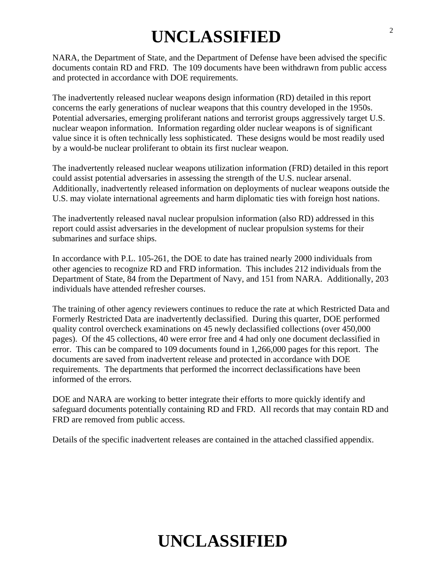## **UNCLASSIFIED**

NARA, the Department of State, and the Department of Defense have been advised the specific documents contain RD and FRD. The 109 documents have been withdrawn from public access and protected in accordance with DOE requirements.

The inadvertently released nuclear weapons design information (RD) detailed in this report concerns the early generations of nuclear weapons that this country developed in the 1950s. Potential adversaries, emerging proliferant nations and terrorist groups aggressively target U.S. nuclear weapon information. Information regarding older nuclear weapons is of significant value since it is often technically less sophisticated. These designs would be most readily used by a would-be nuclear proliferant to obtain its first nuclear weapon.

The inadvertently released nuclear weapons utilization information (FRD) detailed in this report could assist potential adversaries in assessing the strength of the U.S. nuclear arsenal. Additionally, inadvertently released information on deployments of nuclear weapons outside the U.S. may violate international agreements and harm diplomatic ties with foreign host nations.

The inadvertently released naval nuclear propulsion information (also RD) addressed in this report could assist adversaries in the development of nuclear propulsion systems for their submarines and surface ships.

In accordance with P.L. 105-261, the DOE to date has trained nearly 2000 individuals from other agencies to recognize RD and FRD information. This includes 212 individuals from the Department of State, 84 from the Department of Navy, and 151 from NARA. Additionally, 203 individuals have attended refresher courses.

The training of other agency reviewers continues to reduce the rate at which Restricted Data and Formerly Restricted Data are inadvertently declassified. During this quarter, DOE performed quality control overcheck examinations on 45 newly declassified collections (over 450,000 pages). Of the 45 collections, 40 were error free and 4 had only one document declassified in error. This can be compared to 109 documents found in 1,266,000 pages for this report. The documents are saved from inadvertent release and protected in accordance with DOE requirements. The departments that performed the incorrect declassifications have been informed of the errors.

DOE and NARA are working to better integrate their efforts to more quickly identify and safeguard documents potentially containing RD and FRD. All records that may contain RD and FRD are removed from public access.

Details of the specific inadvertent releases are contained in the attached classified appendix.

## **UNCLASSIFIED**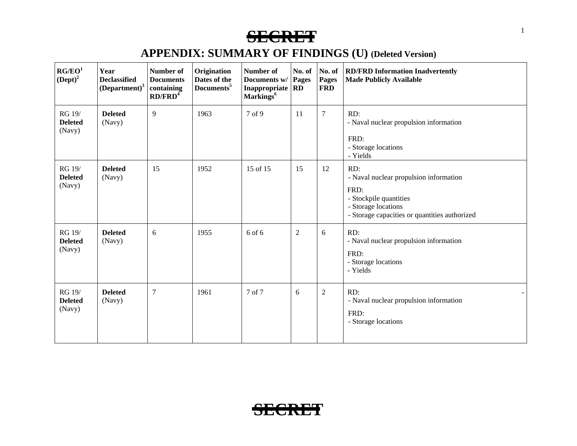| RG/EO <sup>1</sup><br>$(Dept)^2$   | Year<br><b>Declassified</b><br>$(Department)^3$ | Number of<br><b>Documents</b><br>containing<br>RD/FRD <sup>4</sup> | Origination<br>Dates of the<br>Documents <sup>5</sup> | Number of<br>Documents w/<br><b>Inappropriate</b><br>Markings <sup>6</sup> | No. of<br>Pages<br><b>RD</b> | No. of<br><b>Pages</b><br><b>FRD</b> | <b>RD/FRD Information Inadvertently</b><br><b>Made Publicly Available</b>                                                                               |
|------------------------------------|-------------------------------------------------|--------------------------------------------------------------------|-------------------------------------------------------|----------------------------------------------------------------------------|------------------------------|--------------------------------------|---------------------------------------------------------------------------------------------------------------------------------------------------------|
| RG 19/<br><b>Deleted</b><br>(Navy) | <b>Deleted</b><br>(Navy)                        | 9                                                                  | 1963                                                  | 7 of 9                                                                     | 11                           | $\overline{7}$                       | RD:<br>- Naval nuclear propulsion information<br>FRD:<br>- Storage locations<br>- Yields                                                                |
| RG 19/<br><b>Deleted</b><br>(Navy) | <b>Deleted</b><br>(Navy)                        | 15                                                                 | 1952                                                  | 15 of 15                                                                   | 15                           | 12                                   | RD:<br>- Naval nuclear propulsion information<br>FRD:<br>- Stockpile quantities<br>- Storage locations<br>- Storage capacities or quantities authorized |
| RG 19/<br><b>Deleted</b><br>(Navy) | <b>Deleted</b><br>(Navy)                        | 6                                                                  | 1955                                                  | 6 of 6                                                                     | 2                            | 6                                    | RD:<br>- Naval nuclear propulsion information<br>FRD:<br>- Storage locations<br>- Yields                                                                |
| RG 19/<br><b>Deleted</b><br>(Navy) | <b>Deleted</b><br>(Navy)                        | $\overline{7}$                                                     | 1961                                                  | 7 of 7                                                                     | 6                            | $\overline{2}$                       | RD:<br>- Naval nuclear propulsion information<br>FRD:<br>- Storage locations                                                                            |

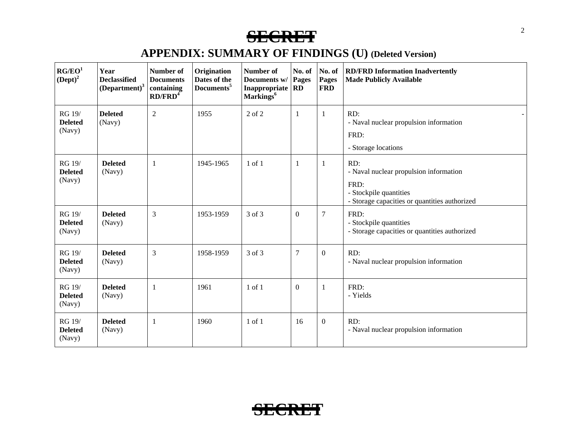| RG/EO <sup>1</sup><br>$(Dept)^2$   | Year<br><b>Declassified</b><br>$\left(\text{Department}\right)^3$ | Number of<br><b>Documents</b><br>containing<br>RD/FRD <sup>4</sup> | Origination<br>Dates of the<br>Documents <sup>5</sup> | Number of<br>Documents w/<br>Inappropriate   RD<br>Markings <sup>6</sup> | No. of<br>Pages  | No. of<br>Pages<br><b>FRD</b> | <b>RD/FRD Information Inadvertently</b><br><b>Made Publicly Available</b>                                                        |
|------------------------------------|-------------------------------------------------------------------|--------------------------------------------------------------------|-------------------------------------------------------|--------------------------------------------------------------------------|------------------|-------------------------------|----------------------------------------------------------------------------------------------------------------------------------|
| RG 19/<br><b>Deleted</b><br>(Navy) | <b>Deleted</b><br>(Navy)                                          | $\mathfrak{2}$                                                     | 1955                                                  | 2 of 2                                                                   | $\mathbf{1}$     | 1                             | RD:<br>- Naval nuclear propulsion information<br>FRD:<br>- Storage locations                                                     |
| RG 19/<br><b>Deleted</b><br>(Navy) | <b>Deleted</b><br>(Navy)                                          | 1                                                                  | 1945-1965                                             | $1$ of $1$                                                               | -1               | 1                             | RD:<br>- Naval nuclear propulsion information<br>FRD:<br>- Stockpile quantities<br>- Storage capacities or quantities authorized |
| RG 19/<br><b>Deleted</b><br>(Navy) | <b>Deleted</b><br>(Navy)                                          | 3                                                                  | 1953-1959                                             | 3 of 3                                                                   | $\boldsymbol{0}$ | $\overline{7}$                | FRD:<br>- Stockpile quantities<br>- Storage capacities or quantities authorized                                                  |
| RG 19/<br><b>Deleted</b><br>(Navy) | <b>Deleted</b><br>(Navy)                                          | $\overline{3}$                                                     | 1958-1959                                             | 3 of 3                                                                   | $\overline{7}$   | $\boldsymbol{0}$              | RD:<br>- Naval nuclear propulsion information                                                                                    |
| RG 19/<br><b>Deleted</b><br>(Navy) | <b>Deleted</b><br>(Navy)                                          | 1                                                                  | 1961                                                  | $1$ of $1$                                                               | $\mathbf{0}$     | $\mathbf{1}$                  | FRD:<br>- Yields                                                                                                                 |
| RG 19/<br><b>Deleted</b><br>(Navy) | <b>Deleted</b><br>(Navy)                                          | 1                                                                  | 1960                                                  | $1$ of $1$                                                               | 16               | $\mathbf{0}$                  | RD:<br>- Naval nuclear propulsion information                                                                                    |

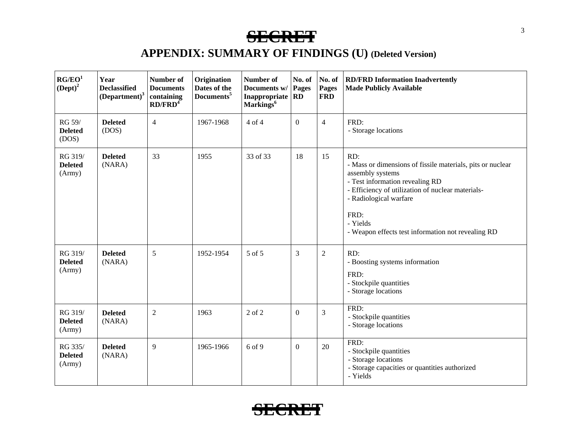| RG/EO <sup>1</sup><br>$(Dept)^2$    | Year<br><b>Declassified</b><br>$(Department)^3$ | Number of<br><b>Documents</b><br>containing<br>RD/FRD <sup>4</sup> | Origination<br>Dates of the<br>Documents <sup>5</sup> | Number of<br>Documents w/<br>Inappropriate<br>Markings <sup>6</sup> | No. of<br>Pages<br><b>RD</b> | No. of<br><b>Pages</b><br><b>FRD</b> | <b>RD/FRD Information Inadvertently</b><br><b>Made Publicly Available</b>                                                                                                                                                                                                         |
|-------------------------------------|-------------------------------------------------|--------------------------------------------------------------------|-------------------------------------------------------|---------------------------------------------------------------------|------------------------------|--------------------------------------|-----------------------------------------------------------------------------------------------------------------------------------------------------------------------------------------------------------------------------------------------------------------------------------|
| RG 59/<br><b>Deleted</b><br>(DOS)   | <b>Deleted</b><br>(DOS)                         | $\overline{4}$                                                     | 1967-1968                                             | 4 of 4                                                              | $\mathbf{0}$                 | $\overline{4}$                       | FRD:<br>- Storage locations                                                                                                                                                                                                                                                       |
| RG 319/<br><b>Deleted</b><br>(Arm)  | <b>Deleted</b><br>(NARA)                        | 33                                                                 | 1955                                                  | 33 of 33                                                            | 18                           | 15                                   | RD:<br>- Mass or dimensions of fissile materials, pits or nuclear<br>assembly systems<br>- Test information revealing RD<br>- Efficiency of utilization of nuclear materials-<br>- Radiological warfare<br>FRD:<br>- Yields<br>- Weapon effects test information not revealing RD |
| RG 319/<br><b>Deleted</b><br>(Army) | <b>Deleted</b><br>(NARA)                        | 5                                                                  | 1952-1954                                             | 5 of 5                                                              | 3                            | $\overline{2}$                       | RD:<br>- Boosting systems information<br>FRD:<br>- Stockpile quantities<br>- Storage locations                                                                                                                                                                                    |
| RG 319/<br><b>Deleted</b><br>(Army) | <b>Deleted</b><br>(NARA)                        | $\overline{2}$                                                     | 1963                                                  | $2$ of $2$                                                          | $\Omega$                     | 3                                    | FRD:<br>- Stockpile quantities<br>- Storage locations                                                                                                                                                                                                                             |
| RG 335/<br><b>Deleted</b><br>(Army) | <b>Deleted</b><br>(NARA)                        | 9                                                                  | 1965-1966                                             | 6 of 9                                                              | $\boldsymbol{0}$             | 20                                   | FRD:<br>- Stockpile quantities<br>- Storage locations<br>- Storage capacities or quantities authorized<br>- Yields                                                                                                                                                                |